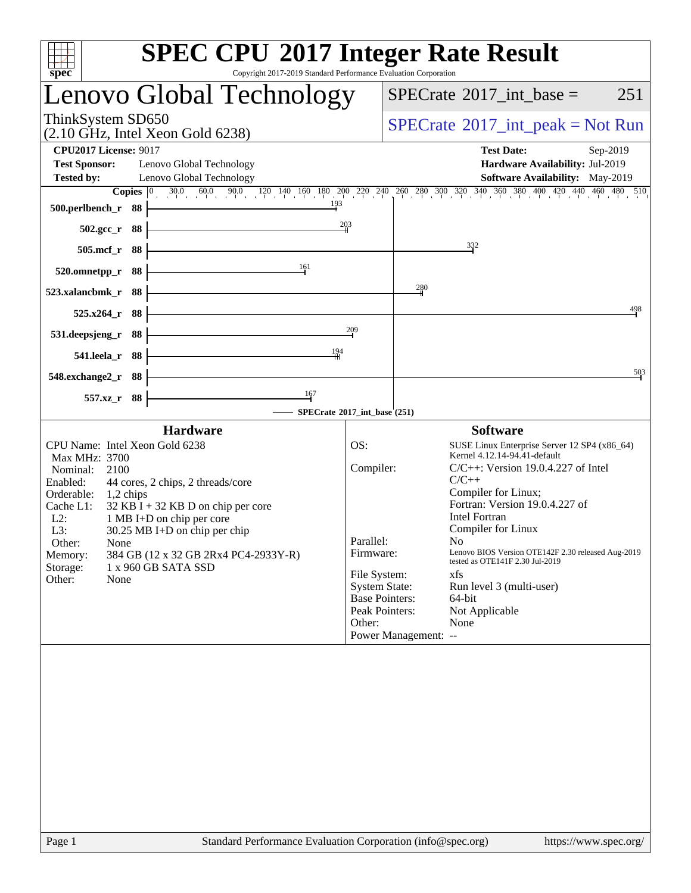| spec                                                                                                                                                                                                                                                                                                                                                                                                                                  | <b>SPEC CPU®2017 Integer Rate Result</b><br>Copyright 2017-2019 Standard Performance Evaluation Corporation                                                                                                                                                                                                                                                                                                                                                                                                                                                                                           |
|---------------------------------------------------------------------------------------------------------------------------------------------------------------------------------------------------------------------------------------------------------------------------------------------------------------------------------------------------------------------------------------------------------------------------------------|-------------------------------------------------------------------------------------------------------------------------------------------------------------------------------------------------------------------------------------------------------------------------------------------------------------------------------------------------------------------------------------------------------------------------------------------------------------------------------------------------------------------------------------------------------------------------------------------------------|
| Lenovo Global Technology                                                                                                                                                                                                                                                                                                                                                                                                              | $SPECrate^{\circ}2017\_int\_base =$<br>251                                                                                                                                                                                                                                                                                                                                                                                                                                                                                                                                                            |
| ThinkSystem SD650<br>$(2.10 \text{ GHz}, \text{Intel Xeon Gold } 6238)$                                                                                                                                                                                                                                                                                                                                                               | $SPECrate^{\circledast}2017\_int\_peak = Not Run$                                                                                                                                                                                                                                                                                                                                                                                                                                                                                                                                                     |
| <b>CPU2017 License: 9017</b><br><b>Test Sponsor:</b><br>Lenovo Global Technology<br><b>Tested by:</b><br>Lenovo Global Technology                                                                                                                                                                                                                                                                                                     | <b>Test Date:</b><br>Sep-2019<br>Hardware Availability: Jul-2019<br><b>Software Availability:</b> May-2019                                                                                                                                                                                                                                                                                                                                                                                                                                                                                            |
| 193<br>500.perlbench_r 88<br>502.gcc_r 88                                                                                                                                                                                                                                                                                                                                                                                             | <b>Copies</b> $\begin{bmatrix} 0 & 30.0 & 60.0 & 90.0 & 120 & 140 & 160 & 180 & 200 & 220 & 240 & 260 & 280 & 300 & 320 & 340 & 360 & 380 & 400 & 420 & 440 & 460 & 480 & 510 \end{bmatrix}$<br>$\frac{203}{4}$                                                                                                                                                                                                                                                                                                                                                                                       |
| 505.mcf_r 88<br>161                                                                                                                                                                                                                                                                                                                                                                                                                   | 332                                                                                                                                                                                                                                                                                                                                                                                                                                                                                                                                                                                                   |
| 88<br>520.omnetpp_r<br>523.xalancbmk_r<br>88                                                                                                                                                                                                                                                                                                                                                                                          | 280                                                                                                                                                                                                                                                                                                                                                                                                                                                                                                                                                                                                   |
| 525.x264<br>88<br>88<br>531.deepsjeng_r                                                                                                                                                                                                                                                                                                                                                                                               | 498<br>209                                                                                                                                                                                                                                                                                                                                                                                                                                                                                                                                                                                            |
| 194<br>541.leela_r 88<br>548.exchange2_r<br>88                                                                                                                                                                                                                                                                                                                                                                                        | 503                                                                                                                                                                                                                                                                                                                                                                                                                                                                                                                                                                                                   |
| 167<br>557.xz<br>88                                                                                                                                                                                                                                                                                                                                                                                                                   | SPECrate®2017_int_base (251)                                                                                                                                                                                                                                                                                                                                                                                                                                                                                                                                                                          |
| <b>Hardware</b><br>CPU Name: Intel Xeon Gold 6238<br>Max MHz: 3700<br>Nominal:<br>2100<br>Enabled:<br>44 cores, 2 chips, 2 threads/core<br>Orderable:<br>1,2 chips<br>Cache L1:<br>$32$ KB I + 32 KB D on chip per core<br>$L2$ :<br>1 MB I+D on chip per core<br>$L3$ :<br>$30.25$ MB I+D on chip per chip<br>Other:<br>None<br>384 GB (12 x 32 GB 2Rx4 PC4-2933Y-R)<br>Memory:<br>1 x 960 GB SATA SSD<br>Storage:<br>Other:<br>None | <b>Software</b><br>OS:<br>SUSE Linux Enterprise Server 12 SP4 (x86_64)<br>Kernel 4.12.14-94.41-default<br>Compiler:<br>$C/C++$ : Version 19.0.4.227 of Intel<br>$C/C++$<br>Compiler for Linux;<br>Fortran: Version 19.0.4.227 of<br><b>Intel Fortran</b><br>Compiler for Linux<br>Parallel:<br>No –<br>Lenovo BIOS Version OTE142F 2.30 released Aug-2019<br>Firmware:<br>tested as OTE141F 2.30 Jul-2019<br>File System:<br>xfs<br><b>System State:</b><br>Run level 3 (multi-user)<br><b>Base Pointers:</b><br>64-bit<br>Peak Pointers:<br>Not Applicable<br>Other:<br>None<br>Power Management: -- |
|                                                                                                                                                                                                                                                                                                                                                                                                                                       |                                                                                                                                                                                                                                                                                                                                                                                                                                                                                                                                                                                                       |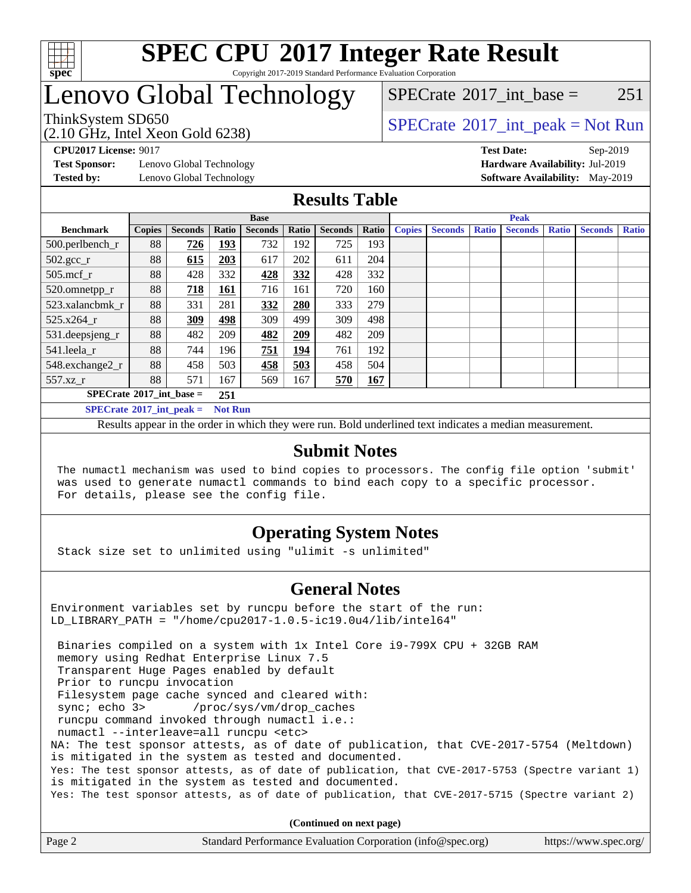

#### **[SPEC CPU](http://www.spec.org/auto/cpu2017/Docs/result-fields.html#SPECCPU2017IntegerRateResult)[2017 Integer Rate Result](http://www.spec.org/auto/cpu2017/Docs/result-fields.html#SPECCPU2017IntegerRateResult)** Copyright 2017-2019 Standard Performance Evaluation Corporation

## Lenovo Global Technology

[SPECrate](http://www.spec.org/auto/cpu2017/Docs/result-fields.html#SPECrate2017intbase)<sup>®</sup>2017 int base = 251

(2.10 GHz, Intel Xeon Gold 6238)

ThinkSystem SD650  $SPECrate^{\circ}2017$  $SPECrate^{\circ}2017$ \_int\_peak = Not Run

**[Test Sponsor:](http://www.spec.org/auto/cpu2017/Docs/result-fields.html#TestSponsor)** Lenovo Global Technology **[Hardware Availability:](http://www.spec.org/auto/cpu2017/Docs/result-fields.html#HardwareAvailability)** Jul-2019

**[CPU2017 License:](http://www.spec.org/auto/cpu2017/Docs/result-fields.html#CPU2017License)** 9017 **[Test Date:](http://www.spec.org/auto/cpu2017/Docs/result-fields.html#TestDate)** Sep-2019 **[Tested by:](http://www.spec.org/auto/cpu2017/Docs/result-fields.html#Testedby)** Lenovo Global Technology **[Software Availability:](http://www.spec.org/auto/cpu2017/Docs/result-fields.html#SoftwareAvailability)** May-2019

### **[Results Table](http://www.spec.org/auto/cpu2017/Docs/result-fields.html#ResultsTable)**

|                                                     | <b>Base</b>   |                |       |                | <b>Peak</b> |                |       |               |                |              |                |              |                |              |
|-----------------------------------------------------|---------------|----------------|-------|----------------|-------------|----------------|-------|---------------|----------------|--------------|----------------|--------------|----------------|--------------|
| <b>Benchmark</b>                                    | <b>Copies</b> | <b>Seconds</b> | Ratio | <b>Seconds</b> | Ratio       | <b>Seconds</b> | Ratio | <b>Copies</b> | <b>Seconds</b> | <b>Ratio</b> | <b>Seconds</b> | <b>Ratio</b> | <b>Seconds</b> | <b>Ratio</b> |
| 500.perlbench_r                                     | 88            | 726            | 193   | 732            | 192         | 725            | 193   |               |                |              |                |              |                |              |
| $502.\text{gcc\_r}$                                 | 88            | 615            | 203   | 617            | 202         | 611            | 204   |               |                |              |                |              |                |              |
| 505.mcf r                                           | 88            | 428            | 332   | 428            | 332         | 428            | 332   |               |                |              |                |              |                |              |
| 520.omnetpp_r                                       | 88            | 718            | 161   | 716            | 161         | 720            | 160   |               |                |              |                |              |                |              |
| 523.xalancbmk_r                                     | 88            | 331            | 281   | 332            | 280         | 333            | 279   |               |                |              |                |              |                |              |
| 525.x264 r                                          | 88            | 309            | 498   | 309            | 499         | 309            | 498   |               |                |              |                |              |                |              |
| 531.deepsjeng_r                                     | 88            | 482            | 209   | 482            | 209         | 482            | 209   |               |                |              |                |              |                |              |
| 541.leela r                                         | 88            | 744            | 196   | 751            | <u>194</u>  | 761            | 192   |               |                |              |                |              |                |              |
| 548.exchange2_r                                     | 88            | 458            | 503   | 458            | 503         | 458            | 504   |               |                |              |                |              |                |              |
| 557.xz r                                            | 88            | 571            | 167   | 569            | 167         | 570            | 167   |               |                |              |                |              |                |              |
| $SPECrate^{\circ}2017$ int base =<br>251            |               |                |       |                |             |                |       |               |                |              |                |              |                |              |
| $SPECrate^{\circ}2017$ int peak =<br><b>Not Run</b> |               |                |       |                |             |                |       |               |                |              |                |              |                |              |

Results appear in the [order in which they were run](http://www.spec.org/auto/cpu2017/Docs/result-fields.html#RunOrder). Bold underlined text [indicates a median measurement](http://www.spec.org/auto/cpu2017/Docs/result-fields.html#Median).

#### **[Submit Notes](http://www.spec.org/auto/cpu2017/Docs/result-fields.html#SubmitNotes)**

 The numactl mechanism was used to bind copies to processors. The config file option 'submit' was used to generate numactl commands to bind each copy to a specific processor. For details, please see the config file.

### **[Operating System Notes](http://www.spec.org/auto/cpu2017/Docs/result-fields.html#OperatingSystemNotes)**

Stack size set to unlimited using "ulimit -s unlimited"

#### **[General Notes](http://www.spec.org/auto/cpu2017/Docs/result-fields.html#GeneralNotes)**

Environment variables set by runcpu before the start of the run: LD\_LIBRARY\_PATH = "/home/cpu2017-1.0.5-ic19.0u4/lib/intel64"

 Binaries compiled on a system with 1x Intel Core i9-799X CPU + 32GB RAM memory using Redhat Enterprise Linux 7.5 Transparent Huge Pages enabled by default Prior to runcpu invocation Filesystem page cache synced and cleared with: sync; echo 3> /proc/sys/vm/drop\_caches runcpu command invoked through numactl i.e.: numactl --interleave=all runcpu <etc> NA: The test sponsor attests, as of date of publication, that CVE-2017-5754 (Meltdown) is mitigated in the system as tested and documented. Yes: The test sponsor attests, as of date of publication, that CVE-2017-5753 (Spectre variant 1) is mitigated in the system as tested and documented. Yes: The test sponsor attests, as of date of publication, that CVE-2017-5715 (Spectre variant 2)

**(Continued on next page)**

| Page 2 | Standard Performance Evaluation Corporation (info@spec.org) | https://www.spec.org/ |
|--------|-------------------------------------------------------------|-----------------------|
|--------|-------------------------------------------------------------|-----------------------|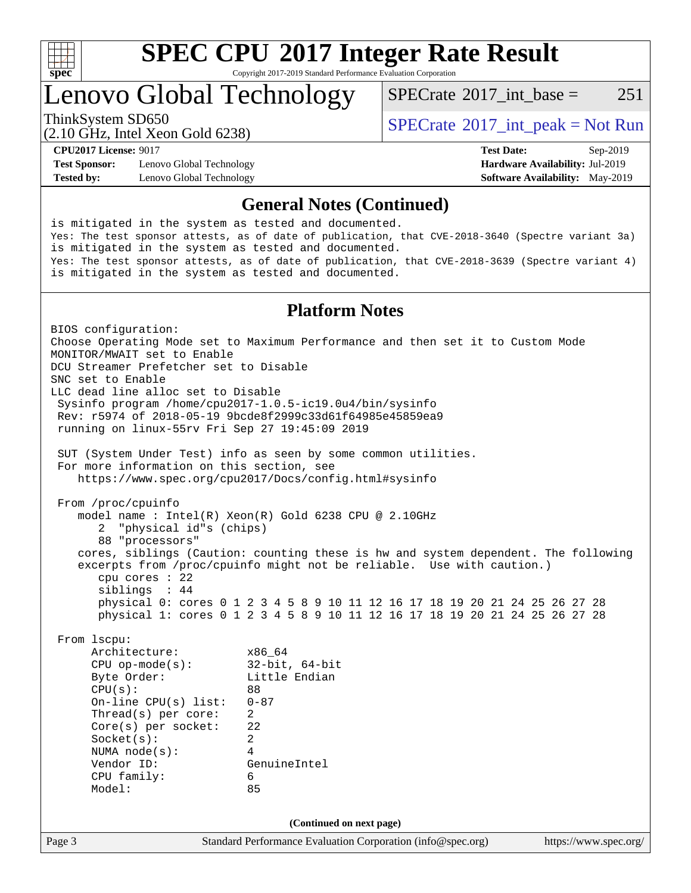

Copyright 2017-2019 Standard Performance Evaluation Corporation

### Lenovo Global Technology

 $SPECTate^{\circledast}2017$  int base = 251

(2.10 GHz, Intel Xeon Gold 6238)

ThinkSystem SD650  $SPECrate@2017$  $SPECrate@2017$ \_int\_peak = Not Run

**[Test Sponsor:](http://www.spec.org/auto/cpu2017/Docs/result-fields.html#TestSponsor)** Lenovo Global Technology **[Hardware Availability:](http://www.spec.org/auto/cpu2017/Docs/result-fields.html#HardwareAvailability)** Jul-2019 **[Tested by:](http://www.spec.org/auto/cpu2017/Docs/result-fields.html#Testedby)** Lenovo Global Technology **[Software Availability:](http://www.spec.org/auto/cpu2017/Docs/result-fields.html#SoftwareAvailability)** May-2019

**[CPU2017 License:](http://www.spec.org/auto/cpu2017/Docs/result-fields.html#CPU2017License)** 9017 **[Test Date:](http://www.spec.org/auto/cpu2017/Docs/result-fields.html#TestDate)** Sep-2019

#### **[General Notes \(Continued\)](http://www.spec.org/auto/cpu2017/Docs/result-fields.html#GeneralNotes)**

Page 3 Standard Performance Evaluation Corporation [\(info@spec.org\)](mailto:info@spec.org) <https://www.spec.org/> is mitigated in the system as tested and documented. Yes: The test sponsor attests, as of date of publication, that CVE-2018-3640 (Spectre variant 3a) is mitigated in the system as tested and documented. Yes: The test sponsor attests, as of date of publication, that CVE-2018-3639 (Spectre variant 4) is mitigated in the system as tested and documented. **[Platform Notes](http://www.spec.org/auto/cpu2017/Docs/result-fields.html#PlatformNotes)** BIOS configuration: Choose Operating Mode set to Maximum Performance and then set it to Custom Mode MONITOR/MWAIT set to Enable DCU Streamer Prefetcher set to Disable SNC set to Enable LLC dead line alloc set to Disable Sysinfo program /home/cpu2017-1.0.5-ic19.0u4/bin/sysinfo Rev: r5974 of 2018-05-19 9bcde8f2999c33d61f64985e45859ea9 running on linux-55rv Fri Sep 27 19:45:09 2019 SUT (System Under Test) info as seen by some common utilities. For more information on this section, see <https://www.spec.org/cpu2017/Docs/config.html#sysinfo> From /proc/cpuinfo model name : Intel(R) Xeon(R) Gold 6238 CPU @ 2.10GHz 2 "physical id"s (chips) 88 "processors" cores, siblings (Caution: counting these is hw and system dependent. The following excerpts from /proc/cpuinfo might not be reliable. Use with caution.) cpu cores : 22 siblings : 44 physical 0: cores 0 1 2 3 4 5 8 9 10 11 12 16 17 18 19 20 21 24 25 26 27 28 physical 1: cores 0 1 2 3 4 5 8 9 10 11 12 16 17 18 19 20 21 24 25 26 27 28 From lscpu: Architecture: x86\_64 CPU op-mode(s): 32-bit, 64-bit Byte Order: Little Endian CPU(s): 88 On-line CPU(s) list: 0-87 Thread(s) per core: 2 Core(s) per socket: 22 Socket(s): 2 NUMA node(s): 4 Vendor ID: GenuineIntel CPU family: 6 Model: 85 **(Continued on next page)**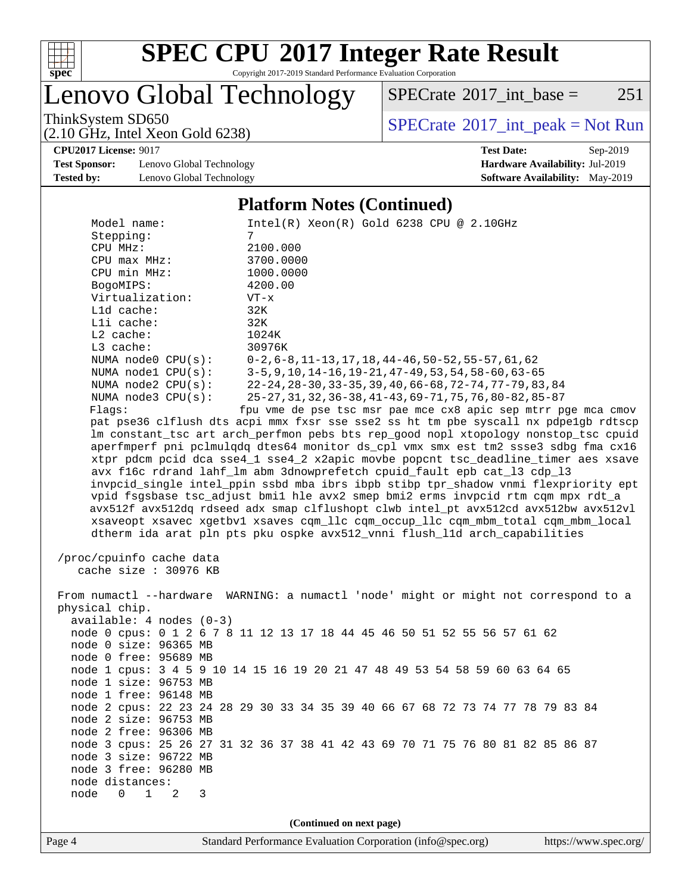

Copyright 2017-2019 Standard Performance Evaluation Corporation

Lenovo Global Technology

 $SPECTate@2017_int\_base =$  251

(2.10 GHz, Intel Xeon Gold 6238)

ThinkSystem SD650<br>
(2.10 GHz, Intel Xeon Gold 6238)<br> [SPECrate](http://www.spec.org/auto/cpu2017/Docs/result-fields.html#SPECrate2017intpeak)®[2017\\_int\\_peak = N](http://www.spec.org/auto/cpu2017/Docs/result-fields.html#SPECrate2017intpeak)ot Run

**[CPU2017 License:](http://www.spec.org/auto/cpu2017/Docs/result-fields.html#CPU2017License)** 9017 **[Test Date:](http://www.spec.org/auto/cpu2017/Docs/result-fields.html#TestDate)** Sep-2019

**[Test Sponsor:](http://www.spec.org/auto/cpu2017/Docs/result-fields.html#TestSponsor)** Lenovo Global Technology **[Hardware Availability:](http://www.spec.org/auto/cpu2017/Docs/result-fields.html#HardwareAvailability)** Jul-2019 **[Tested by:](http://www.spec.org/auto/cpu2017/Docs/result-fields.html#Testedby)** Lenovo Global Technology **[Software Availability:](http://www.spec.org/auto/cpu2017/Docs/result-fields.html#SoftwareAvailability)** May-2019

#### **[Platform Notes \(Continued\)](http://www.spec.org/auto/cpu2017/Docs/result-fields.html#PlatformNotes)**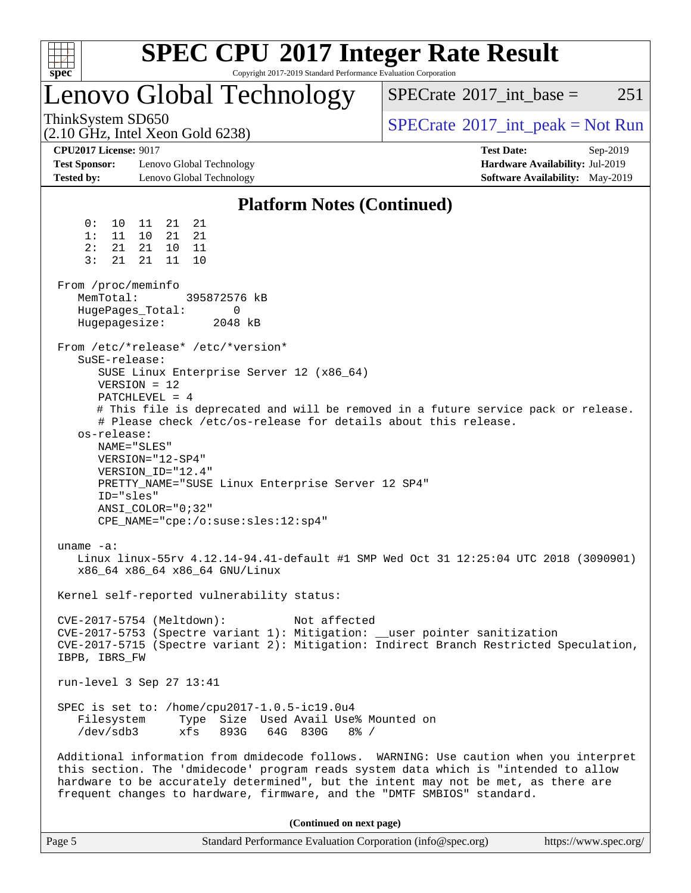

Page 5 Standard Performance Evaluation Corporation [\(info@spec.org\)](mailto:info@spec.org) <https://www.spec.org/>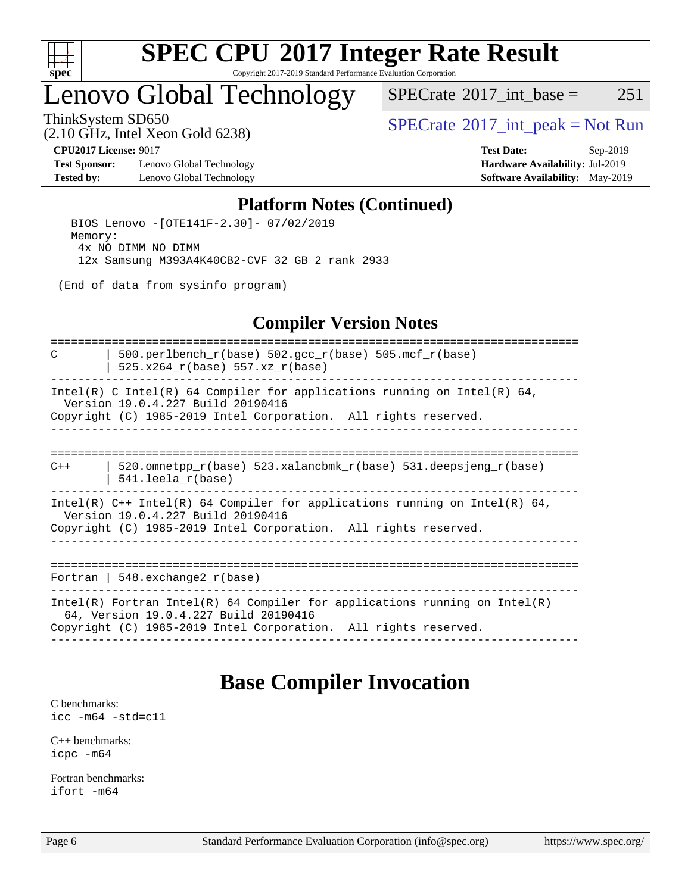

Copyright 2017-2019 Standard Performance Evaluation Corporation

### Lenovo Global Technology

 $SPECTate$ <sup>®</sup>[2017\\_int\\_base =](http://www.spec.org/auto/cpu2017/Docs/result-fields.html#SPECrate2017intbase) 251

(2.10 GHz, Intel Xeon Gold 6238)

ThinkSystem SD650  $SPECrate^{\circ}2017$  $SPECrate^{\circ}2017$ \_int\_peak = Not Run

**[Test Sponsor:](http://www.spec.org/auto/cpu2017/Docs/result-fields.html#TestSponsor)** Lenovo Global Technology **[Hardware Availability:](http://www.spec.org/auto/cpu2017/Docs/result-fields.html#HardwareAvailability)** Jul-2019 **[Tested by:](http://www.spec.org/auto/cpu2017/Docs/result-fields.html#Testedby)** Lenovo Global Technology **[Software Availability:](http://www.spec.org/auto/cpu2017/Docs/result-fields.html#SoftwareAvailability)** May-2019

**[CPU2017 License:](http://www.spec.org/auto/cpu2017/Docs/result-fields.html#CPU2017License)** 9017 **[Test Date:](http://www.spec.org/auto/cpu2017/Docs/result-fields.html#TestDate)** Sep-2019

#### **[Platform Notes \(Continued\)](http://www.spec.org/auto/cpu2017/Docs/result-fields.html#PlatformNotes)**

 BIOS Lenovo -[OTE141F-2.30]- 07/02/2019 Memory: 4x NO DIMM NO DIMM 12x Samsung M393A4K40CB2-CVF 32 GB 2 rank 2933

(End of data from sysinfo program)

#### **[Compiler Version Notes](http://www.spec.org/auto/cpu2017/Docs/result-fields.html#CompilerVersionNotes)**

==============================================================================

C  $\vert$  500.perlbench\_r(base) 502.gcc\_r(base) 505.mcf\_r(base) | 525.x264\_r(base) 557.xz\_r(base)

------------------------------------------------------------------------------

Intel(R) C Intel(R) 64 Compiler for applications running on Intel(R)  $64$ , Version 19.0.4.227 Build 20190416 Copyright (C) 1985-2019 Intel Corporation. All rights reserved. ------------------------------------------------------------------------------

==============================================================================  $C++$  | 520.omnetpp\_r(base) 523.xalancbmk\_r(base) 531.deepsjeng\_r(base)

| 541.leela\_r(base)

------------------------------------------------------------------------------ Intel(R) C++ Intel(R) 64 Compiler for applications running on Intel(R) 64, Version 19.0.4.227 Build 20190416 Copyright (C) 1985-2019 Intel Corporation. All rights reserved.

------------------------------------------------------------------------------

==============================================================================

Fortran | 548.exchange2\_r(base)

------------------------------------------------------------------------------ Intel(R) Fortran Intel(R) 64 Compiler for applications running on Intel(R) 64, Version 19.0.4.227 Build 20190416 Copyright (C) 1985-2019 Intel Corporation. All rights reserved. ------------------------------------------------------------------------------

### **[Base Compiler Invocation](http://www.spec.org/auto/cpu2017/Docs/result-fields.html#BaseCompilerInvocation)**

[C benchmarks](http://www.spec.org/auto/cpu2017/Docs/result-fields.html#Cbenchmarks): [icc -m64 -std=c11](http://www.spec.org/cpu2017/results/res2019q4/cpu2017-20191014-19101.flags.html#user_CCbase_intel_icc_64bit_c11_33ee0cdaae7deeeab2a9725423ba97205ce30f63b9926c2519791662299b76a0318f32ddfffdc46587804de3178b4f9328c46fa7c2b0cd779d7a61945c91cd35)

[C++ benchmarks:](http://www.spec.org/auto/cpu2017/Docs/result-fields.html#CXXbenchmarks) [icpc -m64](http://www.spec.org/cpu2017/results/res2019q4/cpu2017-20191014-19101.flags.html#user_CXXbase_intel_icpc_64bit_4ecb2543ae3f1412ef961e0650ca070fec7b7afdcd6ed48761b84423119d1bf6bdf5cad15b44d48e7256388bc77273b966e5eb805aefd121eb22e9299b2ec9d9)

[Fortran benchmarks](http://www.spec.org/auto/cpu2017/Docs/result-fields.html#Fortranbenchmarks): [ifort -m64](http://www.spec.org/cpu2017/results/res2019q4/cpu2017-20191014-19101.flags.html#user_FCbase_intel_ifort_64bit_24f2bb282fbaeffd6157abe4f878425411749daecae9a33200eee2bee2fe76f3b89351d69a8130dd5949958ce389cf37ff59a95e7a40d588e8d3a57e0c3fd751)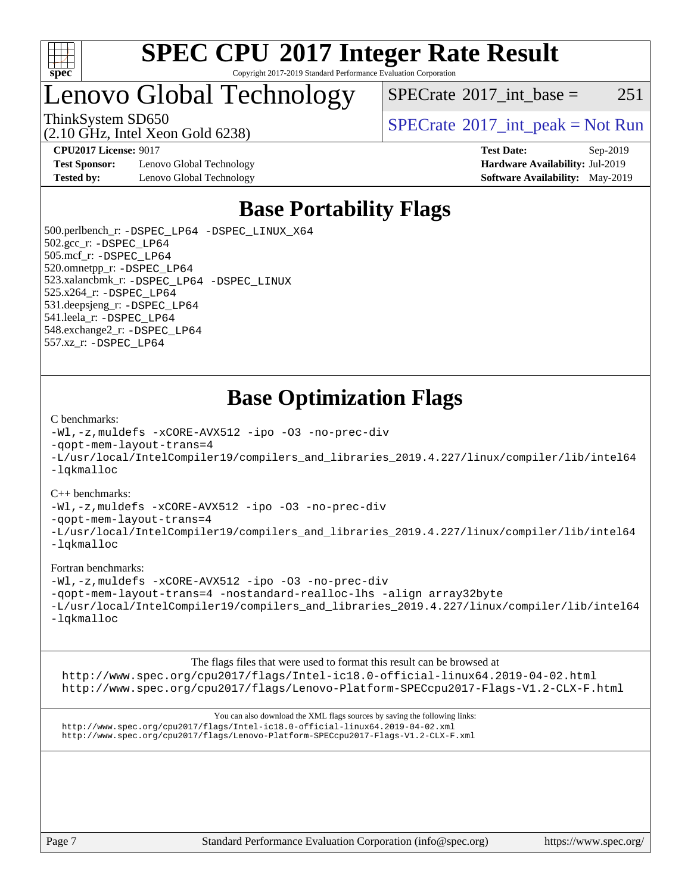

#### **[SPEC CPU](http://www.spec.org/auto/cpu2017/Docs/result-fields.html#SPECCPU2017IntegerRateResult)[2017 Integer Rate Result](http://www.spec.org/auto/cpu2017/Docs/result-fields.html#SPECCPU2017IntegerRateResult)** Copyright 2017-2019 Standard Performance Evaluation Corporation

### Lenovo Global Technology

 $SPECTate@2017\_int\_base = 251$ 

(2.10 GHz, Intel Xeon Gold 6238)

ThinkSystem SD650  $SPECrate@2017$  $SPECrate@2017$ \_int\_peak = Not Run

**[CPU2017 License:](http://www.spec.org/auto/cpu2017/Docs/result-fields.html#CPU2017License)** 9017 **[Test Date:](http://www.spec.org/auto/cpu2017/Docs/result-fields.html#TestDate)** Sep-2019

**[Test Sponsor:](http://www.spec.org/auto/cpu2017/Docs/result-fields.html#TestSponsor)** Lenovo Global Technology **[Hardware Availability:](http://www.spec.org/auto/cpu2017/Docs/result-fields.html#HardwareAvailability)** Jul-2019 **[Tested by:](http://www.spec.org/auto/cpu2017/Docs/result-fields.html#Testedby)** Lenovo Global Technology **[Software Availability:](http://www.spec.org/auto/cpu2017/Docs/result-fields.html#SoftwareAvailability)** May-2019

### **[Base Portability Flags](http://www.spec.org/auto/cpu2017/Docs/result-fields.html#BasePortabilityFlags)**

 500.perlbench\_r: [-DSPEC\\_LP64](http://www.spec.org/cpu2017/results/res2019q4/cpu2017-20191014-19101.flags.html#b500.perlbench_r_basePORTABILITY_DSPEC_LP64) [-DSPEC\\_LINUX\\_X64](http://www.spec.org/cpu2017/results/res2019q4/cpu2017-20191014-19101.flags.html#b500.perlbench_r_baseCPORTABILITY_DSPEC_LINUX_X64) 502.gcc\_r: [-DSPEC\\_LP64](http://www.spec.org/cpu2017/results/res2019q4/cpu2017-20191014-19101.flags.html#suite_basePORTABILITY502_gcc_r_DSPEC_LP64) 505.mcf\_r: [-DSPEC\\_LP64](http://www.spec.org/cpu2017/results/res2019q4/cpu2017-20191014-19101.flags.html#suite_basePORTABILITY505_mcf_r_DSPEC_LP64) 520.omnetpp\_r: [-DSPEC\\_LP64](http://www.spec.org/cpu2017/results/res2019q4/cpu2017-20191014-19101.flags.html#suite_basePORTABILITY520_omnetpp_r_DSPEC_LP64) 523.xalancbmk\_r: [-DSPEC\\_LP64](http://www.spec.org/cpu2017/results/res2019q4/cpu2017-20191014-19101.flags.html#suite_basePORTABILITY523_xalancbmk_r_DSPEC_LP64) [-DSPEC\\_LINUX](http://www.spec.org/cpu2017/results/res2019q4/cpu2017-20191014-19101.flags.html#b523.xalancbmk_r_baseCXXPORTABILITY_DSPEC_LINUX) 525.x264\_r: [-DSPEC\\_LP64](http://www.spec.org/cpu2017/results/res2019q4/cpu2017-20191014-19101.flags.html#suite_basePORTABILITY525_x264_r_DSPEC_LP64) 531.deepsjeng\_r: [-DSPEC\\_LP64](http://www.spec.org/cpu2017/results/res2019q4/cpu2017-20191014-19101.flags.html#suite_basePORTABILITY531_deepsjeng_r_DSPEC_LP64) 541.leela\_r: [-DSPEC\\_LP64](http://www.spec.org/cpu2017/results/res2019q4/cpu2017-20191014-19101.flags.html#suite_basePORTABILITY541_leela_r_DSPEC_LP64) 548.exchange2\_r: [-DSPEC\\_LP64](http://www.spec.org/cpu2017/results/res2019q4/cpu2017-20191014-19101.flags.html#suite_basePORTABILITY548_exchange2_r_DSPEC_LP64) 557.xz\_r: [-DSPEC\\_LP64](http://www.spec.org/cpu2017/results/res2019q4/cpu2017-20191014-19101.flags.html#suite_basePORTABILITY557_xz_r_DSPEC_LP64)

### **[Base Optimization Flags](http://www.spec.org/auto/cpu2017/Docs/result-fields.html#BaseOptimizationFlags)**

#### [C benchmarks](http://www.spec.org/auto/cpu2017/Docs/result-fields.html#Cbenchmarks):

[-Wl,-z,muldefs](http://www.spec.org/cpu2017/results/res2019q4/cpu2017-20191014-19101.flags.html#user_CCbase_link_force_multiple1_b4cbdb97b34bdee9ceefcfe54f4c8ea74255f0b02a4b23e853cdb0e18eb4525ac79b5a88067c842dd0ee6996c24547a27a4b99331201badda8798ef8a743f577) [-xCORE-AVX512](http://www.spec.org/cpu2017/results/res2019q4/cpu2017-20191014-19101.flags.html#user_CCbase_f-xCORE-AVX512) [-ipo](http://www.spec.org/cpu2017/results/res2019q4/cpu2017-20191014-19101.flags.html#user_CCbase_f-ipo) [-O3](http://www.spec.org/cpu2017/results/res2019q4/cpu2017-20191014-19101.flags.html#user_CCbase_f-O3) [-no-prec-div](http://www.spec.org/cpu2017/results/res2019q4/cpu2017-20191014-19101.flags.html#user_CCbase_f-no-prec-div) [-qopt-mem-layout-trans=4](http://www.spec.org/cpu2017/results/res2019q4/cpu2017-20191014-19101.flags.html#user_CCbase_f-qopt-mem-layout-trans_fa39e755916c150a61361b7846f310bcdf6f04e385ef281cadf3647acec3f0ae266d1a1d22d972a7087a248fd4e6ca390a3634700869573d231a252c784941a8) [-L/usr/local/IntelCompiler19/compilers\\_and\\_libraries\\_2019.4.227/linux/compiler/lib/intel64](http://www.spec.org/cpu2017/results/res2019q4/cpu2017-20191014-19101.flags.html#user_CCbase_qkmalloc_link_0ffe0cb02c68ef1b443a077c7888c10c67ca0d1dd7138472156f06a085bbad385f78d49618ad55dca9db3b1608e84afc2f69b4003b1d1ca498a9fc1462ccefda) [-lqkmalloc](http://www.spec.org/cpu2017/results/res2019q4/cpu2017-20191014-19101.flags.html#user_CCbase_qkmalloc_link_lib_79a818439969f771c6bc311cfd333c00fc099dad35c030f5aab9dda831713d2015205805422f83de8875488a2991c0a156aaa600e1f9138f8fc37004abc96dc5)

#### [C++ benchmarks](http://www.spec.org/auto/cpu2017/Docs/result-fields.html#CXXbenchmarks):

[-Wl,-z,muldefs](http://www.spec.org/cpu2017/results/res2019q4/cpu2017-20191014-19101.flags.html#user_CXXbase_link_force_multiple1_b4cbdb97b34bdee9ceefcfe54f4c8ea74255f0b02a4b23e853cdb0e18eb4525ac79b5a88067c842dd0ee6996c24547a27a4b99331201badda8798ef8a743f577) [-xCORE-AVX512](http://www.spec.org/cpu2017/results/res2019q4/cpu2017-20191014-19101.flags.html#user_CXXbase_f-xCORE-AVX512) [-ipo](http://www.spec.org/cpu2017/results/res2019q4/cpu2017-20191014-19101.flags.html#user_CXXbase_f-ipo) [-O3](http://www.spec.org/cpu2017/results/res2019q4/cpu2017-20191014-19101.flags.html#user_CXXbase_f-O3) [-no-prec-div](http://www.spec.org/cpu2017/results/res2019q4/cpu2017-20191014-19101.flags.html#user_CXXbase_f-no-prec-div)

[-qopt-mem-layout-trans=4](http://www.spec.org/cpu2017/results/res2019q4/cpu2017-20191014-19101.flags.html#user_CXXbase_f-qopt-mem-layout-trans_fa39e755916c150a61361b7846f310bcdf6f04e385ef281cadf3647acec3f0ae266d1a1d22d972a7087a248fd4e6ca390a3634700869573d231a252c784941a8)

[-L/usr/local/IntelCompiler19/compilers\\_and\\_libraries\\_2019.4.227/linux/compiler/lib/intel64](http://www.spec.org/cpu2017/results/res2019q4/cpu2017-20191014-19101.flags.html#user_CXXbase_qkmalloc_link_0ffe0cb02c68ef1b443a077c7888c10c67ca0d1dd7138472156f06a085bbad385f78d49618ad55dca9db3b1608e84afc2f69b4003b1d1ca498a9fc1462ccefda) [-lqkmalloc](http://www.spec.org/cpu2017/results/res2019q4/cpu2017-20191014-19101.flags.html#user_CXXbase_qkmalloc_link_lib_79a818439969f771c6bc311cfd333c00fc099dad35c030f5aab9dda831713d2015205805422f83de8875488a2991c0a156aaa600e1f9138f8fc37004abc96dc5)

#### [Fortran benchmarks](http://www.spec.org/auto/cpu2017/Docs/result-fields.html#Fortranbenchmarks):

[-Wl,-z,muldefs](http://www.spec.org/cpu2017/results/res2019q4/cpu2017-20191014-19101.flags.html#user_FCbase_link_force_multiple1_b4cbdb97b34bdee9ceefcfe54f4c8ea74255f0b02a4b23e853cdb0e18eb4525ac79b5a88067c842dd0ee6996c24547a27a4b99331201badda8798ef8a743f577) [-xCORE-AVX512](http://www.spec.org/cpu2017/results/res2019q4/cpu2017-20191014-19101.flags.html#user_FCbase_f-xCORE-AVX512) [-ipo](http://www.spec.org/cpu2017/results/res2019q4/cpu2017-20191014-19101.flags.html#user_FCbase_f-ipo) [-O3](http://www.spec.org/cpu2017/results/res2019q4/cpu2017-20191014-19101.flags.html#user_FCbase_f-O3) [-no-prec-div](http://www.spec.org/cpu2017/results/res2019q4/cpu2017-20191014-19101.flags.html#user_FCbase_f-no-prec-div) [-qopt-mem-layout-trans=4](http://www.spec.org/cpu2017/results/res2019q4/cpu2017-20191014-19101.flags.html#user_FCbase_f-qopt-mem-layout-trans_fa39e755916c150a61361b7846f310bcdf6f04e385ef281cadf3647acec3f0ae266d1a1d22d972a7087a248fd4e6ca390a3634700869573d231a252c784941a8) [-nostandard-realloc-lhs](http://www.spec.org/cpu2017/results/res2019q4/cpu2017-20191014-19101.flags.html#user_FCbase_f_2003_std_realloc_82b4557e90729c0f113870c07e44d33d6f5a304b4f63d4c15d2d0f1fab99f5daaed73bdb9275d9ae411527f28b936061aa8b9c8f2d63842963b95c9dd6426b8a) [-align array32byte](http://www.spec.org/cpu2017/results/res2019q4/cpu2017-20191014-19101.flags.html#user_FCbase_align_array32byte_b982fe038af199962ba9a80c053b8342c548c85b40b8e86eb3cc33dee0d7986a4af373ac2d51c3f7cf710a18d62fdce2948f201cd044323541f22fc0fffc51b6) [-L/usr/local/IntelCompiler19/compilers\\_and\\_libraries\\_2019.4.227/linux/compiler/lib/intel64](http://www.spec.org/cpu2017/results/res2019q4/cpu2017-20191014-19101.flags.html#user_FCbase_qkmalloc_link_0ffe0cb02c68ef1b443a077c7888c10c67ca0d1dd7138472156f06a085bbad385f78d49618ad55dca9db3b1608e84afc2f69b4003b1d1ca498a9fc1462ccefda) [-lqkmalloc](http://www.spec.org/cpu2017/results/res2019q4/cpu2017-20191014-19101.flags.html#user_FCbase_qkmalloc_link_lib_79a818439969f771c6bc311cfd333c00fc099dad35c030f5aab9dda831713d2015205805422f83de8875488a2991c0a156aaa600e1f9138f8fc37004abc96dc5)

[The flags files that were used to format this result can be browsed at](tmsearch) <http://www.spec.org/cpu2017/flags/Intel-ic18.0-official-linux64.2019-04-02.html> <http://www.spec.org/cpu2017/flags/Lenovo-Platform-SPECcpu2017-Flags-V1.2-CLX-F.html>

[You can also download the XML flags sources by saving the following links:](tmsearch) <http://www.spec.org/cpu2017/flags/Intel-ic18.0-official-linux64.2019-04-02.xml> <http://www.spec.org/cpu2017/flags/Lenovo-Platform-SPECcpu2017-Flags-V1.2-CLX-F.xml>